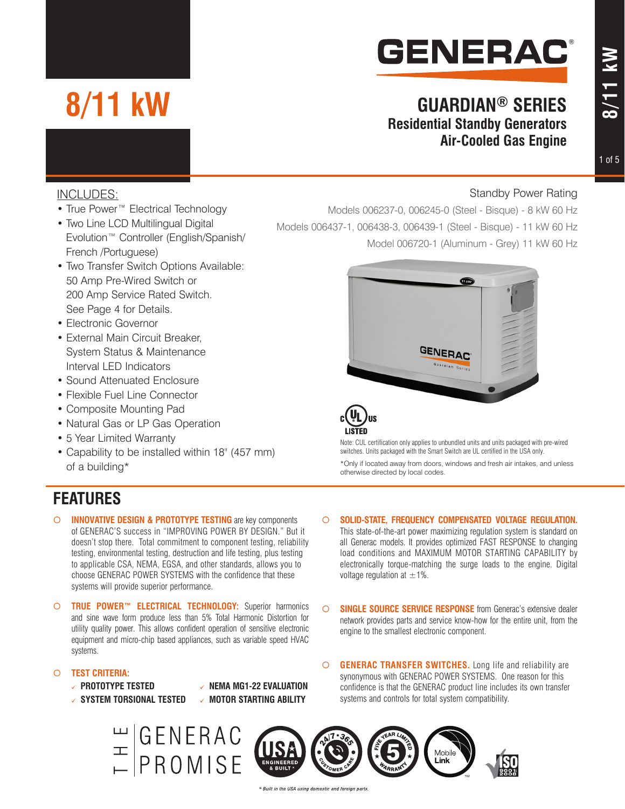# **GENERAC®**

### **GUARDIAN® SERIES Residential Standby Generators Air-Cooled Gas Engine**

#### 1 of 5

### INCLUDES:

• True Power<sup>™</sup> Electrical Technology

**8/11 kW**

- Two Line LCD Multilingual Digital Evolution™ Controller (English/Spanish/ French /Portuguese)
- Two Transfer Switch Options Available: 50 Amp Pre-Wired Switch or 200 Amp Service Rated Switch. See Page 4 for Details.
- Electronic Governor
- External Main Circuit Breaker, System Status & Maintenance Interval LED Indicators
- Sound Attenuated Enclosure
- Flexible Fuel Line Connector
- Composite Mounting Pad
- Natural Gas or LP Gas Operation
- 5 Year Limited Warranty
- Capability to be installed within 18" (457 mm) of a building\*

### **FEATURES**

- ¡ **INNOVATIVE DESIGN & PROTOTYPE TESTING** are key components of GENERAC'S success in "IMPROVING POWER BY DESIGN." But it doesn't stop there. Total commitment to component testing, reliability testing, environmental testing, destruction and life testing, plus testing to applicable CSA, NEMA, EGSA, and other standards, allows you to choose GENERAC POWER SYSTEMS with the confidence that these systems will provide superior performance.
- ¡ **TRUE POWER™ ELECTRICAL TECHNOLOGY:** Superior harmonics and sine wave form produce less than 5% Total Harmonic Distortion for utility quality power. This allows confident operation of sensitive electronic equipment and micro-chip based appliances, such as variable speed HVAC systems.

#### ¡ **TEST CRITERIA:**

- **PROTOTYPE TESTED NEMA MG1-22 EVALUATION**
- $\checkmark$  **SYSTEM TORSIONAL TESTED**  $\checkmark$  **MOTOR STARTING ABILITY**
- 

#### Standby Power Rating

Models 006237-0, 006245-0 (Steel - Bisque) - 8 kW 60 Hz Models 006437-1, 006438-3, 006439-1 (Steel - Bisque) - 11 kW 60 Hz Model 006720-1 (Aluminum - Grey) 11 kW 60 Hz



Note: CUL certification only applies to unbundled units and units packaged with pre-wired switches. Units packaged with the Smart Switch are UL certified in the USA only.

\*Only if located away from doors, windows and fresh air intakes, and unless otherwise directed by local codes.

#### $\circ$  **SOLID-STATE, FREQUENCY COMPENSATED VOLTAGE REGULATION.**

This state-of-the-art power maximizing regulation system is standard on all Generac models. It provides optimized FAST RESPONSE to changing load conditions and MAXIMUM MOTOR STARTING CAPABILITY by electronically torque-matching the surge loads to the engine. Digital voltage regulation at  $\pm 1\%$ .

- $\circ$  **SINGLE SOURCE SERVICE RESPONSE** from Generac's extensive dealer network provides parts and service know-how for the entire unit, from the engine to the smallest electronic component.
- $\circ$  **GENERAC TRANSFER SWITCHES.** Long life and reliability are synonymous with GENERAC POWER SYSTEMS. One reason for this confidence is that the GENERAC product line includes its own transfer systems and controls for total system compatibility.

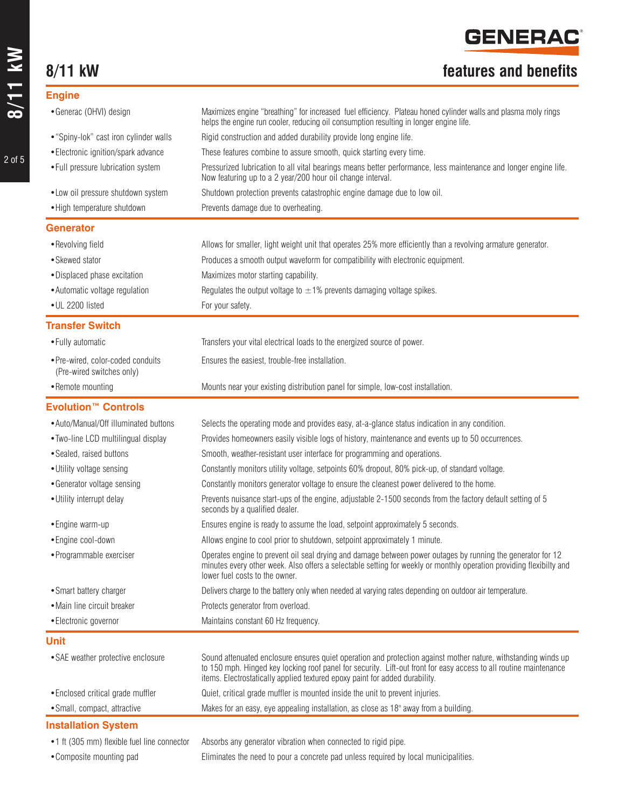### **8/11 kW features and benefits**

| <b>Engine</b>                                                  |                                                                                                                                                                                                                                                                                                                    |
|----------------------------------------------------------------|--------------------------------------------------------------------------------------------------------------------------------------------------------------------------------------------------------------------------------------------------------------------------------------------------------------------|
| • Generac (OHVI) design                                        | Maximizes engine "breathing" for increased fuel efficiency. Plateau honed cylinder walls and plasma moly rings<br>helps the engine run cooler, reducing oil consumption resulting in longer engine life.                                                                                                           |
| • "Spiny-lok" cast iron cylinder walls                         | Rigid construction and added durability provide long engine life.                                                                                                                                                                                                                                                  |
| • Electronic ignition/spark advance                            | These features combine to assure smooth, quick starting every time.                                                                                                                                                                                                                                                |
| • Full pressure lubrication system                             | Pressurized lubrication to all vital bearings means better performance, less maintenance and longer engine life.<br>Now featuring up to a 2 year/200 hour oil change interval.                                                                                                                                     |
| • Low oil pressure shutdown system                             | Shutdown protection prevents catastrophic engine damage due to low oil.                                                                                                                                                                                                                                            |
| • High temperature shutdown                                    | Prevents damage due to overheating.                                                                                                                                                                                                                                                                                |
| <b>Generator</b>                                               |                                                                                                                                                                                                                                                                                                                    |
| • Revolving field                                              | Allows for smaller, light weight unit that operates 25% more efficiently than a revolving armature generator.                                                                                                                                                                                                      |
| • Skewed stator                                                | Produces a smooth output waveform for compatibility with electronic equipment.                                                                                                                                                                                                                                     |
| • Displaced phase excitation                                   | Maximizes motor starting capability.                                                                                                                                                                                                                                                                               |
| • Automatic voltage regulation                                 | Regulates the output voltage to $\pm 1\%$ prevents damaging voltage spikes.                                                                                                                                                                                                                                        |
| • UL 2200 listed                                               | For your safety.                                                                                                                                                                                                                                                                                                   |
| <b>Transfer Switch</b>                                         |                                                                                                                                                                                                                                                                                                                    |
| • Fully automatic                                              | Transfers your vital electrical loads to the energized source of power.                                                                                                                                                                                                                                            |
| · Pre-wired, color-coded conduits<br>(Pre-wired switches only) | Ensures the easiest, trouble-free installation.                                                                                                                                                                                                                                                                    |
| • Remote mounting                                              | Mounts near your existing distribution panel for simple, low-cost installation.                                                                                                                                                                                                                                    |
| <b>Evolution™ Controls</b>                                     |                                                                                                                                                                                                                                                                                                                    |
| • Auto/Manual/Off illuminated buttons                          | Selects the operating mode and provides easy, at-a-glance status indication in any condition.                                                                                                                                                                                                                      |
| • Two-line LCD multilingual display                            | Provides homeowners easily visible logs of history, maintenance and events up to 50 occurrences.                                                                                                                                                                                                                   |
| · Sealed, raised buttons                                       | Smooth, weather-resistant user interface for programming and operations.                                                                                                                                                                                                                                           |
| • Utility voltage sensing                                      | Constantly monitors utility voltage, setpoints 60% dropout, 80% pick-up, of standard voltage.                                                                                                                                                                                                                      |
| • Generator voltage sensing                                    | Constantly monitors generator voltage to ensure the cleanest power delivered to the home.                                                                                                                                                                                                                          |
| • Utility interrupt delay                                      | Prevents nuisance start-ups of the engine, adjustable 2-1500 seconds from the factory default setting of 5<br>seconds by a qualified dealer.                                                                                                                                                                       |
| • Engine warm-up                                               | Ensures engine is ready to assume the load, setpoint approximately 5 seconds.                                                                                                                                                                                                                                      |
| • Engine cool-down                                             | Allows engine to cool prior to shutdown, setpoint approximately 1 minute.                                                                                                                                                                                                                                          |
| • Programmable exerciser                                       | Operates engine to prevent oil seal drying and damage between power outages by running the generator for 12<br>minutes every other week. Also offers a selectable setting for weekly or monthly operation providing flexibilty and<br>lower fuel costs to the owner.                                               |
| • Smart battery charger                                        | Delivers charge to the battery only when needed at varying rates depending on outdoor air temperature.                                                                                                                                                                                                             |
| • Main line circuit breaker                                    | Protects generator from overload.                                                                                                                                                                                                                                                                                  |
| • Electronic governor                                          | Maintains constant 60 Hz frequency.                                                                                                                                                                                                                                                                                |
| <b>Unit</b>                                                    |                                                                                                                                                                                                                                                                                                                    |
| • SAE weather protective enclosure                             | Sound attenuated enclosure ensures quiet operation and protection against mother nature, withstanding winds up<br>to 150 mph. Hinged key locking roof panel for security. Lift-out front for easy access to all routine maintenance<br>items. Electrostatically applied textured epoxy paint for added durability. |
| • Enclosed critical grade muffler                              | Quiet, critical grade muffler is mounted inside the unit to prevent injuries.                                                                                                                                                                                                                                      |
| • Small, compact, attractive                                   | Makes for an easy, eye appealing installation, as close as 18" away from a building.                                                                                                                                                                                                                               |
| <b>Installation System</b>                                     |                                                                                                                                                                                                                                                                                                                    |
| •1 ft (305 mm) flexible fuel line connector                    | Absorbs any generator vibration when connected to rigid pipe.                                                                                                                                                                                                                                                      |

•Composite mounting pad Eliminates the need to pour a concrete pad unless required by local municipalities.

2 of 5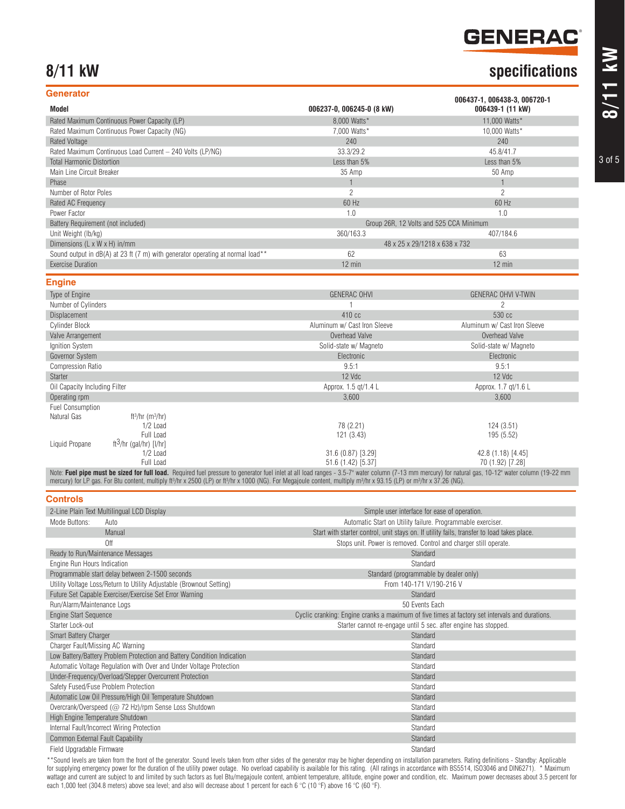### **GENERAC®**

42.8 (1.18) [4.45] 70 (1.92) [7.28]

### **8/11 kW specifications**

| <b>Generator</b>                                                               |                               | 006437-1, 006438-3, 006720-1            |  |  |
|--------------------------------------------------------------------------------|-------------------------------|-----------------------------------------|--|--|
| Model                                                                          | 006237-0, 006245-0 (8 kW)     | 006439-1 (11 kW)                        |  |  |
| Rated Maximum Continuous Power Capacity (LP)                                   | 8.000 Watts*                  | 11,000 Watts*                           |  |  |
| Rated Maximum Continuous Power Capacity (NG)                                   | 7,000 Watts*                  | 10,000 Watts*                           |  |  |
| <b>Rated Voltage</b>                                                           | 240                           | 240                                     |  |  |
| Rated Maximum Continuous Load Current - 240 Volts (LP/NG)                      | 33.3/29.2                     | 45.8/41.7                               |  |  |
| <b>Total Harmonic Distortion</b>                                               | Less than 5%                  | Less than 5%                            |  |  |
| Main Line Circuit Breaker                                                      | 35 Amp                        | 50 Amp                                  |  |  |
| Phase                                                                          |                               |                                         |  |  |
| Number of Rotor Poles                                                          | $\overline{c}$                | $\overline{c}$                          |  |  |
| Rated AC Frequency                                                             | 60 Hz                         | 60 Hz                                   |  |  |
| Power Factor                                                                   | 1.0                           | 1.0                                     |  |  |
| Battery Requirement (not included)                                             |                               | Group 26R, 12 Volts and 525 CCA Minimum |  |  |
| Unit Weight (lb/kg)                                                            | 360/163.3                     | 407/184.6                               |  |  |
| Dimensions (L x W x H) in/mm                                                   | 48 x 25 x 29/1218 x 638 x 732 |                                         |  |  |
| Sound output in dB(A) at 23 ft (7 m) with generator operating at normal load** | 62                            | 63                                      |  |  |
| <b>Exercise Duration</b>                                                       | $12$ min                      | $12$ min                                |  |  |
| <b>Engine</b>                                                                  |                               |                                         |  |  |
| Type of Engine                                                                 | <b>GENERAC OHVI</b>           | <b>GENERAC OHVI V-TWIN</b>              |  |  |
| Number of Cylinders                                                            |                               | 2                                       |  |  |
| Displacement                                                                   | 410 cc                        | 530 cc                                  |  |  |
| <b>Cylinder Block</b>                                                          | Aluminum w/ Cast Iron Sleeve  | Aluminum w/ Cast Iron Sleeve            |  |  |
| Valve Arrangement                                                              | Overhead Valve                | Overhead Valve                          |  |  |
| Ignition System                                                                | Solid-state w/ Magneto        | Solid-state w/ Magneto                  |  |  |
| Governor System                                                                | Electronic                    | Electronic                              |  |  |
| <b>Compression Ratio</b>                                                       | 9.5:1                         | 9.5:1                                   |  |  |
| <b>Starter</b>                                                                 | 12 Vdc                        | 12 Vdc                                  |  |  |
| Oil Capacity Including Filter                                                  | Approx. 1.5 gt/1.4 L          | Approx. 1.7 qt/1.6 L                    |  |  |
| Operating rpm                                                                  | 3.600                         | 3,600                                   |  |  |
| <b>Fuel Consumption</b>                                                        |                               |                                         |  |  |
| Natural Gas<br>ft <sup>3</sup> /hr (m <sup>3</sup> /hr)                        |                               |                                         |  |  |
| 1/2 Load                                                                       | 78 (2.21)                     | 124(3.51)                               |  |  |
| Full Load                                                                      | 121 (3.43)                    | 195 (5.52)                              |  |  |
| ft <sup>3</sup> /hr (gal/hr) [l/hr]<br>Liquid Propane                          |                               |                                         |  |  |

51.6 (1.42) [5.37] Note: Fuel pipe must be sized for full load. Required fuel pressure to generator fuel inlet at all load ranges - 3.5-7" water column (7-13 mm mercury) for natural gas, 10-12" water column (19-22 mm mercury) for LP gas. For Btu content, multiply ft3/hr x 2500 (LP) or ft3/hr x 1000 (NG). For Megajoule content, multiply m3/hr x 93.15 (LP) or m3/hr x 37.26 (NG).

31.6 (0.87) [3.29]

#### **Controls**

1/2 Load Full Load

| 2-Line Plain Text Multilingual LCD Display                              | Simple user interface for ease of operation.                                                   |
|-------------------------------------------------------------------------|------------------------------------------------------------------------------------------------|
| Mode Buttons:<br>Auto                                                   | Automatic Start on Utility failure. Programmable exerciser.                                    |
| <b>Manual</b>                                                           | Start with starter control, unit stays on. If utility fails, transfer to load takes place.     |
| Off                                                                     | Stops unit. Power is removed. Control and charger still operate.                               |
| Ready to Run/Maintenance Messages                                       | Standard                                                                                       |
| Engine Run Hours Indication                                             | Standard                                                                                       |
| Programmable start delay between 2-1500 seconds                         | Standard (programmable by dealer only)                                                         |
| Utility Voltage Loss/Return to Utility Adjustable (Brownout Setting)    | From 140-171 V/190-216 V                                                                       |
| Future Set Capable Exerciser/Exercise Set Error Warning                 | Standard                                                                                       |
| Run/Alarm/Maintenance Logs                                              | 50 Events Each                                                                                 |
| <b>Engine Start Sequence</b>                                            | Cyclic cranking: Engine cranks a maximum of five times at factory set intervals and durations. |
| Starter Lock-out                                                        | Starter cannot re-engage until 5 sec. after engine has stopped.                                |
| <b>Smart Battery Charger</b>                                            | Standard                                                                                       |
| Charger Fault/Missing AC Warning                                        | Standard                                                                                       |
| Low Battery/Battery Problem Protection and Battery Condition Indication | Standard                                                                                       |
| Automatic Voltage Regulation with Over and Under Voltage Protection     | Standard                                                                                       |
| Under-Frequency/Overload/Stepper Overcurrent Protection                 | Standard                                                                                       |
| Safety Fused/Fuse Problem Protection                                    | Standard                                                                                       |
| Automatic Low Oil Pressure/High Oil Temperature Shutdown                | Standard                                                                                       |
| Overcrank/Overspeed (@ 72 Hz)/rpm Sense Loss Shutdown                   | Standard                                                                                       |
| High Engine Temperature Shutdown                                        | Standard                                                                                       |
| Internal Fault/Incorrect Wiring Protection                              | Standard                                                                                       |
| Common External Fault Capability                                        | Standard                                                                                       |
| Field Upgradable Firmware                                               | Standard                                                                                       |

\*\*Sound levels are taken from the front of the generator. Sound levels taken from other sides of the generator may be higher depending on installation parameters. Rating definitions - Standby: Applicable for supplying emergency power for the duration of the utility power outage. No overload capability is available for this rating. (All ratings in accordance with BS5514, ISO3046 and DIN6271). \* Maximum wattage and current are subject to and limited by such factors as fuel Btu/megajoule content, ambient temperature, altitude, engine power and condition, etc. Maximum power decreases about 3.5 percent for each 1,000 feet (304.8 meters) above sea level; and also will decrease about 1 percent for each 6 °C (10 °F) above 16 °C (60 °F).

3 of 5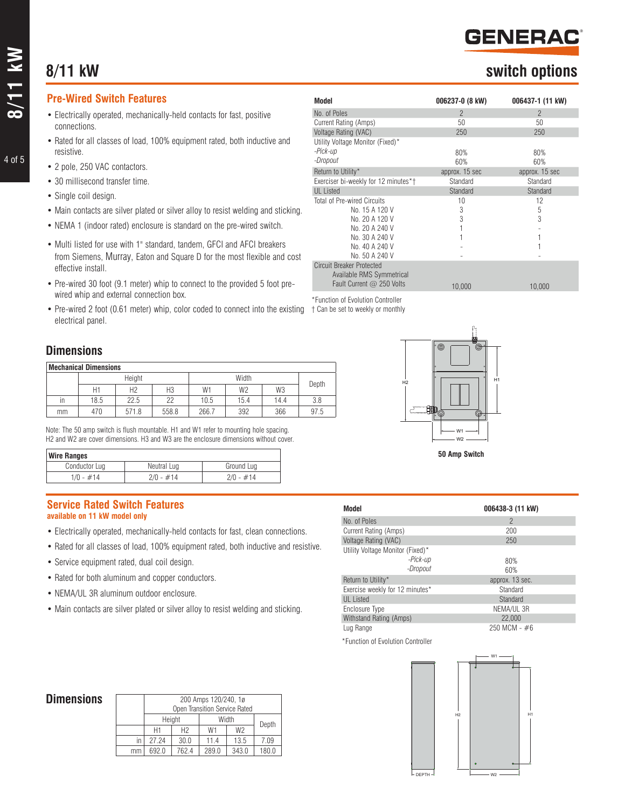## **8/11 kW switch options**

#### **Pre-Wired Switch Features**

- Electrically operated, mechanically-held contacts for fast, positive connections.
- Rated for all classes of load, 100% equipment rated, both inductive and resistive.
- 2 pole, 250 VAC contactors.
- 30 millisecond transfer time.
- Single coil design.
- Main contacts are silver plated or silver alloy to resist welding and sticking.
- NEMA 1 (indoor rated) enclosure is standard on the pre-wired switch.
- Multi listed for use with 1" standard, tandem, GFCI and AFCI breakers from Siemens, Murray, Eaton and Square D for the most flexible and cost effective install.
- Pre-wired 30 foot (9.1 meter) whip to connect to the provided 5 foot prewired whip and external connection box.
- Pre-wired 2 foot (0.61 meter) whip, color coded to connect into the existing  $+$  Can be set to weekly or monthly electrical panel.

#### **Dimensions**

| <b>Mechanical Dimensions</b> |        |                |       |       |                |                |       |
|------------------------------|--------|----------------|-------|-------|----------------|----------------|-------|
|                              | Height |                |       | Width |                |                |       |
|                              | H1     | H <sub>2</sub> | H3    | W1    | W <sub>2</sub> | W <sub>3</sub> | Depth |
| in                           | 18.5   | 22.5           | 22    | 10.5  | 15.4           | 14.4           | 3.8   |
| mm                           | 470    | 571.8          | 558.8 | 266.7 | 392            | 366            | 97.5  |

Note: The 50 amp switch is flush mountable. H1 and W1 refer to mounting hole spacing. H2 and W2 are cover dimensions. H3 and W3 are the enclosure dimensions without cover.

| <b>Wire Ranges</b> |             |             |  |  |  |
|--------------------|-------------|-------------|--|--|--|
| Conductor Lug      | Neutral Lug | Ground Lua  |  |  |  |
| $1/0 - #14$        | $2/0 - #14$ | $2/0 - #14$ |  |  |  |

#### **Service Rated Switch Features available on 11 kW model only**

- Electrically operated, mechanically-held contacts for fast, clean connections.
- Rated for all classes of load, 100% equipment rated, both inductive and resistive.
- Service equipment rated, dual coil design.
- Rated for both aluminum and copper conductors.
- NEMA/UL 3R aluminum outdoor enclosure.

 $\sqrt{ }$ 

 $\overline{1}$ 

• Main contacts are silver plated or silver alloy to resist welding and sticking.

| Model                                | 006237-0 (8 kW) | 006437-1 (11 kW) |
|--------------------------------------|-----------------|------------------|
| No. of Poles                         | $\mathcal{P}$   | $\mathcal{P}$    |
| Current Rating (Amps)                | 50              | 50               |
| Voltage Rating (VAC)                 | 250             | 250              |
| Utility Voltage Monitor (Fixed)*     |                 |                  |
| -Pick-up                             | 80%             | 80%              |
| -Dropout                             | 60%             | 60%              |
| Return to Utility*                   | approx. 15 sec  | approx. 15 sec   |
| Exerciser bi-weekly for 12 minutes*† | Standard        | Standard         |
| <b>UL</b> Listed                     | Standard        | Standard         |
| <b>Total of Pre-wired Circuits</b>   | 10              | 12               |
| No. 15 A 120 V                       | 3               | 5                |
| No. 20 A 120 V                       | 3               | 3                |
| No. 20 A 240 V                       |                 |                  |
| No. 30 A 240 V                       |                 |                  |
| No. 40 A 240 V                       |                 |                  |
| No. 50 A 240 V                       |                 |                  |
| <b>Circuit Breaker Protected</b>     |                 |                  |
| Available RMS Symmetrical            |                 |                  |
| Fault Current @ 250 Volts            | 10,000          | 10,000           |

\*Function of Evolution Controller



| Model                            | 006438-3 (11 kW) |
|----------------------------------|------------------|
| No. of Poles                     | $\mathcal{P}$    |
| Current Rating (Amps)            | 200              |
| Voltage Rating (VAC)             | 250              |
| Utility Voltage Monitor (Fixed)* |                  |
| -Pick-up                         | 80%              |
| -Dropout                         | 60%              |
| Return to Utility*               | approx. 13 sec.  |
| Exercise weekly for 12 minutes*  | Standard         |
| <b>UL</b> Listed                 | Standard         |
| Enclosure Type                   | NEMA/UL 3R       |
| Withstand Rating (Amps)          | 22,000           |
| Lug Range                        | $250$ MCM - $#6$ |

\*Function of Evolution Controller



#### **Dimensions**

|    | Open Transition Service Rated |       |       |                |       |
|----|-------------------------------|-------|-------|----------------|-------|
|    | Height                        |       |       | Width          | Depth |
|    | Н1                            | H2    | W1    | W <sub>2</sub> |       |
| in | 27 24                         | 30.0  | 11.4  | 13.5           | 7.09  |
| mm | 6920                          | 762.4 | 289.0 | 343.0          | 180.0 |

200 Amps 120/240, 1ø

4 of 5